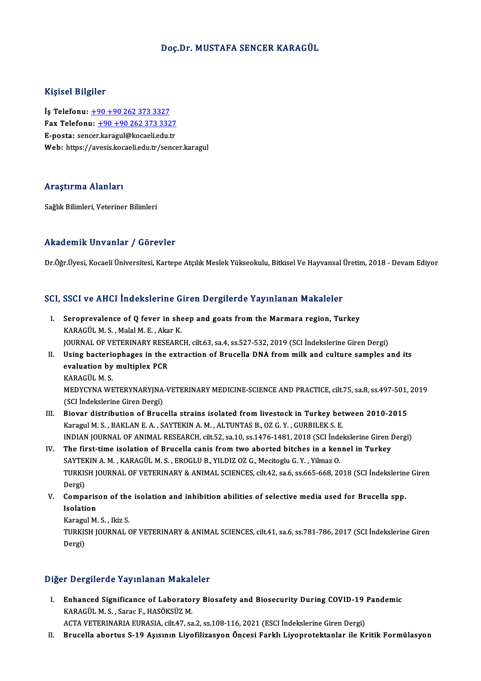#### Doç.Dr.MUSTAFA SENCER KARAGÜL

#### Kişisel Bilgiler

İş Telefonu: +90+90 262 373 3327 Fax Telefonu:  $+90 +90 262 373 3327$ E-posta: sen[cer.karagul@kocaeli.edu.tr](tel:+90 +90 262 373 3327) Web: https://avesis.kocaeli.edu.tr/sencer.karagul

#### Araştırma Alanları

Sağlık Bilimleri, Veteriner Bilimleri

#### Akademik Unvanlar / Görevler

Dr.Öğr.Üyesi, Kocaeli Üniversitesi, Kartepe Atçılık Meslek Yükseokulu, Bitkisel Ve Hayvansal Üretim, 2018 - Devam Ediyor

# Dr.ogr.oyesi, Kocaeli Universitesi, Kartepe Atçlik Meslek Yukseokulu, Bitkisel ve Hayvansal t<br>SCI, SSCI ve AHCI İndekslerine Giren Dergilerde Yayınlanan Makaleler

- CI, SSCI ve AHCI Indekslerine Giren Dergilerde Yayınlanan Makaleler<br>I. Seroprevalence of Q fever in sheep and goats from the Marmara region, Turkey<br>KARACÜLM S. MaklM E. Akar K I. Seroprevalence of Q fever in sheep and goats from the Marmara region, Turkey KARAGÜLM.S., Malal M. E., Akar K. JOURNAL OF VETERINARY RESEARCH, cilt.63, sa.4, ss.527-532, 2019 (SCI İndekslerine Giren Dergi) KARAGÜL M. S. , Malal M. E. , Akar K.<br>JOURNAL OF VETERINARY RESEARCH, cilt.63, sa.4, ss.527-532, 2019 (SCI İndekslerine Giren Dergi)<br>II. Using bacteriophages in the extraction of Brucella DNA from milk and culture samples
- JOURNAL OF VETERINARY RESE<br>Using bacteriophages in the<br>evaluation by multiplex PCR<br>KARACÜL M S Using bacteri<mark>d</mark><br>evaluation by<br>KARAGÜL M. S.<br>MEDVCVNA WE evaluation by multiplex PCR<br>KARAGÜL M. S.<br>MEDYCYNA WETERYNARYJNA-VETERINARY MEDICINE-SCIENCE AND PRACTICE, cilt.75, sa.8, ss.497-501, 2019<br>(SCL Indekslerine Gizen Dergi) KARAGÜL M. S.<br>MEDYCYNA WETERYNARYJNA<br>(SCI İndekslerine Giren Dergi)<br>Piovar distribution of Prus
- (SCI Indekslerine Giren Dergi)<br>III. Biovar distribution of Brucella strains isolated from livestock in Turkey between 2010-2015 Karagul M. S., BAKLAN E. A., SAYTEKIN A. M., ALTUNTAS B., OZ G. Y., GURBILEK S. E. Biovar distribution of Brucella strains isolated from livestock in Turkey between 2010-2015<br>Karagul M. S., BAKLAN E. A., SAYTEKIN A. M., ALTUNTAS B., OZ G. Y., GURBILEK S. E.<br>INDIAN JOURNAL OF ANIMAL RESEARCH, cilt.52, sa. Karagul M. S., BAKLAN E. A., SAYTEKIN A. M., ALTUNTAS B., OZ G. Y., GURBILEK S. E.<br>INDIAN JOURNAL OF ANIMAL RESEARCH, cilt.52, sa.10, ss.1476-1481, 2018 (SCI indekslerine Giren I<br>IV. The first-time isolation of Brucella ca
- INDIAN JOURNAL OF ANIMAL RESEARCH, cilt.52, sa.10, ss.1476-1481, 2018 (SCI İnde<br>The first-time isolation of Brucella canis from two aborted bitches in a ken<br>SAYTEKIN A. M. , KARAGÜL M. S. , EROGLU B., YILDIZ OZ G., Mecitog The first-time isolation of Brucella canis from two aborted bitches in a kennel in Turkey<br>SAYTEKIN A. M. , KARAGÜL M. S. , EROGLU B., YILDIZ OZ G., Mecitoglu G. Y. , Yilmaz O.<br>TURKISH JOURNAL OF VETERINARY & ANIMAL SCIENCE SAYTEI<br>TURKIS<br>Dergi) TURKISH JOURNAL OF VETERINARY & ANIMAL SCIENCES, cilt.42, sa.6, ss.665-668, 2018 (SCI İndekslerinc<br>Dergi)<br>V. Comparison of the isolation and inhibition abilities of selective media used for Brucella spp.<br>Jecletian
- Dergi)<br>Comparis<br>Isolation<br>Karagul M **Comparison of the<br>Isolation<br>Karagul M. S. , Ikiz S.<br>TURKISH JOURNAL (** 
	-

Isolation<br>Karagul M. S. , Ikiz S.<br>TURKISH JOURNAL OF VETERINARY & ANIMAL SCIENCES, cilt.41, sa.6, ss.781-786, 2017 (SCI İndekslerine Giren Karagu<br>TURKIS<br>Dergi)

## Dergi)<br>Diğer Dergilerde Yayınlanan Makaleler

- I. Enhanced Significance of Laboratory Biosafety and Biosecurity During COVID-19 Pandemic KARAGÜLM.S. ,SaracF.,HASÖKSÜZM. ACTA VETERINARIA EURASIA, cilt.47, sa.2, ss.108-116, 2021 (ESCI İndekslerine Giren Dergi)
- II. Brucella abortus S-19 Aşısının Liyofilizasyon Öncesi Farklı Liyoprotektanlar ile Kritik Formülasyon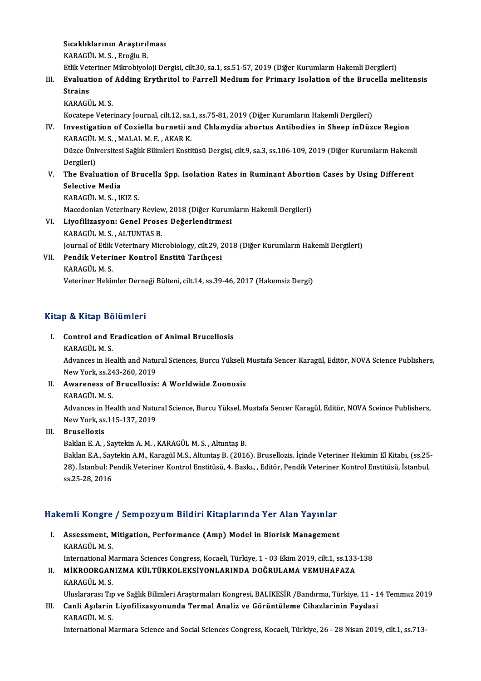Sıcaklıklarının Araştırılması<br>KARAÇÜLM S. Frağlu B Sıcaklıklarının Araştırıl<br>KARAGÜL M. S. , Eroğlu B.<br>Etlik Veteriner Milmebiyel

KARAGÜL M. S. , Eroğlu B.<br>Etlik Veteriner Mikrobiyoloji Dergisi, cilt.30, sa.1, ss.51-57, 2019 (Diğer Kurumların Hakemli Dergileri)

### KARAGÜL M. S. , Eroğlu B.<br>Etlik Veteriner Mikrobiyoloji Dergisi, cilt.30, sa.1, ss.51-57, 2019 (Diğer Kurumların Hakemli Dergileri)<br>III. Evaluation of Adding Erythritol to Farrell Medium for Primary Isolation of the Br Etlik Vet<br><mark>Evaluat</mark><br>Strains<br>KARACÜ Evaluation of<br>Strains<br>KARAGÜL M. S.<br>Kosatana Vater Strains<br>KARAGÜL M. S.<br>Kocatepe Veterinary Journal, cilt.12, sa.1, ss.75-81, 2019 (Diğer Kurumların Hakemli Dergileri)<br>Investigation of Covialla burnetii and Chlamydia abortus Antibodies in Sheen inDür

## KARAGÜL M. S.<br>Kocatepe Veterinary Journal, cilt.12, sa.1, ss.75-81, 2019 (Diğer Kurumların Hakemli Dergileri)<br>IV. Investigation of Coxiella burnetii and Chlamydia abortus Antibodies in Sheep inDüzce Region<br>KARAGÜL M. S., M Kocatepe Veterinary Journal, cilt.12, sa.<br>Investigation of Coxiella burnetii a<br>KARAGÜL M.S. , MALAL M.E. , AKAR K.<br>Dürce Üniversitesi Soğlu, Bilimleri Ensti Investigation of Coxiella burnetii and Chlamydia abortus Antibodies in Sheep inDüzce Region<br>KARAGÜL M. S. , MALAL M. E. , AKAR K.<br>Düzce Üniversitesi Sağlık Bilimleri Enstitüsü Dergisi, cilt.9, sa.3, ss.106-109, 2019 (Diğer

KARAGÜL<br>Düzce Üniv<br>Dergileri)<br>The Evely Düzce Üniversitesi Sağlık Bilimleri Enstitüsü Dergisi, cilt.9, sa.3, ss.106-109, 2019 (Diğer Kurumların Hakeml<br>Dergileri)<br>V. The Evaluation of Brucella Spp. Isolation Rates in Ruminant Abortion Cases by Using Different<br>Sel

## Dergileri)<br>V. The Evaluation of Brucella Spp. Isolation Rates in Ruminant Abortion Cases by Using Different<br>Selective Media

KARAGÜLM.S. , IKIZ S. Selective Media<br>KARAGÜL M. S. , IKIZ S.<br>Macedonian Veterinary Review, 2018 (Diğer Kurumların Hakemli Dergileri)<br>Livefilizesyanı Canal Prases Değerlendirmesi

VI. Liyofilizasyon: Genel Proses Değerlendirmesi Macedonian Veterinary Reviev<br><mark>Liyofilizasyon: Genel Prose</mark><br>KARAGÜL M.S., ALTUNTAS B.<br>Journal of Etlik Veterinary Mic Liyofilizasyon: Genel Proses Değerlendirmesi<br>KARAGÜL M. S. , ALTUNTAS B.<br>Journal of Etlik Veterinary Microbiology, cilt.29, 2018 (Diğer Kurumların Hakemli Dergileri)<br>Pendik Veteriner Kentrel Enetitü Teribessi

### VII. Pendik Veteriner Kontrol Enstitü Tarihçesi<br>KARAGÜL M. S. Journal of Etlik<br><mark>Pendik Veteri</mark><br>KARAGÜL M. S.<br>Veteriner Heltis Veteriner Hekimler Derneği Bülteni, cilt.14, ss.39-46, 2017 (Hakemsiz Dergi)

#### Kitap & Kitap Bölümleri

- Itap & Kitap Bölümleri<br>I. Control and Eradication of Animal Brucellosis<br>KARACÜLM S o de mediposter<br>Control and E<br>KARAGÜLM.S.
	-

Control and Eradication of Animal Brucellosis<br>KARAGÜL M. S.<br>Advances in Health and Natural Sciences, Burcu Yükseli Mustafa Sencer Karagül, Editör, NOVA Science Publishers, KARAGÜL M. S.<br>Advances in Health and Natu<br>New York, ss.243-260, 2019<br>Auvanonese of Brusellosia New York, ss 243-260, 2019

II. Awareness of Brucellosis: A Worldwide Zoonosis<br>KARAGÜL M.S. Awareness of Brucellosis: A Worldwide Zoonosis<br>KARAGÜL M. S.<br>Advances in Health and Natural Science, Burcu Yüksel, Mustafa Sencer Karagül, Editör, NOVA Sceince Publishers, KARAGÜL M. S.<br>Advances in Health and Natu<br>New York, ss.115-137, 2019<br>Prusellerie

### New York, ss.115-137, 2019<br>III. Brusellozis

BaklanE.A. ,SaytekinA.M. ,KARAGÜLM.S. ,AltuntaşB.

Brusellozis<br>Baklan E. A. , Saytekin A. M. , KARAGÜL M. S. , Altuntaş B.<br>Baklan E.A., Saytekin A.M., Karagül M.S., Altuntaş B. (2016). Brusellozis. İçinde Veteriner Hekimin El Kitabı, (ss.25-<br>29). İstanbul: Pendik Veteriner Baklan E. A. , Saytekin A. M. , KARAGÜL M. S. , Altuntaş B.<br>Baklan E.A., Saytekin A.M., Karagül M.S., Altuntaş B. (2016). Brusellozis. İçinde Veteriner Hekimin El Kitabı, (ss.25<br>28). İstanbul: Pendik Veteriner Kontrol Enst 28). İstanbul: Pendik Veteriner Kontrol Enstitüsü, 4. Baskı., , Editör, Pendik Veteriner Kontrol Enstitüsü, İstanbul,<br>ss.25-28, 2016

# ss.25-28, 2016<br>Hakemli Kongre / Sempozyum Bildiri Kitaplarında Yer Alan Yayınlar

akemli Kongre / Sempozyum Bildiri Kitaplarında Yer Alan Yayınlar<br>I. Assessment, Mitigation, Performance (Amp) Model in Biorisk Management<br>KARACÜLM S I. Assessment, Mitigation, Performance (Amp) Model in Biorisk Management<br>KARAGÜLM.S. International Marmara Sciences Congress, Kocaeli, Türkiye, 1 - 03 Ekim 2019, cilt.1, ss.133-138 KARAGÜL M. S.<br>International Marmara Sciences Congress, Kocaeli, Türkiye, 1 - 03 Ekim 2019, cilt.1, ss.133<br>II. MİKROORGANIZMA KÜLTÜRKOLEKSİYONLARINDA DOĞRULAMA VEMUHAFAZA<br>KARAÇÜL M. S

## International M<br>MIKROORGAN<br>KARAGÜL M. S.<br>Uluslararacı Tır KARAGÜL M. S.<br>Uluslararası Tıp ve Sağlık Bilimleri Araştırmaları Kongresi, BALIKESİR /Bandırma, Türkiye, 11 - 14 Temmuz 2019

## KARAGÜL M. S.<br>11 - Uluslararası Tıp ve Sağlık Bilimleri Araştırmaları Kongresi, BALIKESİR /Bandırma, Türkiye, 11<br>11. Canli Aşılarin Liyofilizasyonunda Termal Analiz ve Görüntüleme Cihazlarinin Faydasi<br>11. KARACÜL M Uluslararası Tıp<br>Canli Aşılarin<br>KARAGÜL M. S.<br>International M

KARAGÜL M. S.<br>International Marmara Science and Social Sciences Congress, Kocaeli, Türkiye, 26 - 28 Nisan 2019, cilt.1, ss.713-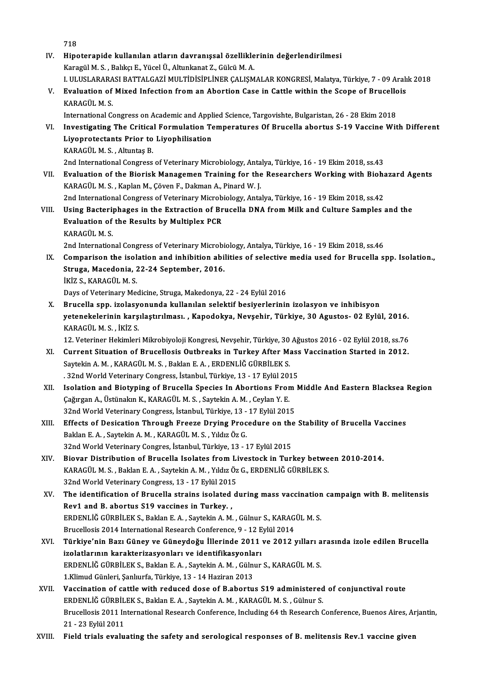718

718<br>IV. Hipoterapide kullanılan atların davranışsal özelliklerinin değerlendirilmesi<br>Kanagül M.S. Bakka E. Vüsel Ü. Altunkanat 7. Gülgü M.A. 718<br>Hipoterapide kullanılan atların davranışsal özellikle<br>Karagül M. S., Balıkçı E., Yücel Ü., Altunkanat Z., Gülcü M. A.<br>L.ULUSLARARASLRATTALCAZİ MULTİDİSİDLİNED CALISM Hipoterapide kullanılan atların davranışsal özelliklerinin değerlendirilmesi<br>Karagül M. S. , Balıkçı E., Yücel Ü., Altunkanat Z., Gülcü M. A.<br>I. ULUSLARARASI BATTALGAZİ MULTİDİSİPLİNER ÇALIŞMALAR KONGRESİ, Malatya, Türkiye Karagül M. S. , Balıkçı E., Yücel Ü., Altunkanat Z., Gülcü M. A.<br>I. ULUSLARARASI BATTALGAZI MULTIDISIPLINER ÇALIŞMALAR KONGRESI, Malatya, Türkiye, 7 - 09 Aralı<br>V. Evaluation of Mixed Infection from an Abortion Case in I. ULUSLARARA<br>Evaluation of<br>KARAGÜL M. S.<br>International Co Evaluation of Mixed Infection from an Abortion Case in Cattle within the Scope of Brucello<br>KARAGÜL M. S.<br>International Congress on Academic and Applied Science, Targovishte, Bulgaristan, 26 - 28 Ekim 2018<br>Investigating The KARAGÜL M. S.<br>International Congress on Academic and Applied Science, Targovishte, Bulgaristan, 26 - 28 Ekim 2018<br>VI. Investigating The Critical Formulation Temperatures Of Brucella abortus S-19 Vaccine With Different<br>I iv International Congress on Academic and Applied Science, Targovishte, Bulgaristan, 26 - 28 Ekim 2018<br>Investigating The Critical Formulation Temperatures Of Brucella abortus S-19 Vaccine Wit<br>Liyoprotectants Prior to Liyophil Investigating The Critica<br>Liyoprotectants Prior to<br>KARAGÜL M.S., Altuntaş B.<br>2nd International Congrees Liyoprotectants Prior to Liyophilisation<br>KARAGÜL M. S. , Altuntaş B.<br>2nd International Congress of Veterinary Microbiology, Antalya, Türkiye, 16 - 19 Ekim 2018, ss.43<br>Evaluation of the Bioniak Managaman Training for the Bo VII. Evaluation of the Biorisk Managemen Training for the Researchers Working with Biohazard Agents<br>KARAGÜL M.S., Kaplan M., Çöven F., Dakman A., Pinard W. J. 2nd International Congress of Veterinary Microbiology, Anta<br>**Evaluation of the Biorisk Managemen Training for the**<br>KARAGÜL M. S. , Kaplan M., Çöven F., Dakman A., Pinard W. J.<br>2nd International Congress of Veterinary Micro Evaluation of the Biorisk Managemen Training for the Researchers Working with Bioha<br>KARAGÜL M. S., Kaplan M., Çöven F., Dakman A., Pinard W. J.<br>2nd International Congress of Veterinary Microbiology, Antalya, Türkiye, 16 - KARAGÜL M. S. , Kaplan M., Çöven F., Dakman A., Pinard W. J.<br>2nd International Congress of Veterinary Microbiology, Antalya, Türkiye, 16 - 19 Ekim 2018, ss.42<br>VIII. Using Bacteriphages in the Extraction of Brucella DNA fro 2nd International Congress of Veterinary Microb<br>Using Bacteriphages in the Extraction of Br<br>Evaluation of the Results by Multiplex PCR<br>KARACÜLM S Using Bacteri<br>Evaluation of<br>KARAGÜLM.S.<br>2nd Internation Evaluation of the Results by Multiplex PCR<br>KARAGÜL M. S.<br>2nd International Congress of Veterinary Microbiology, Antalya, Türkiye, 16 - 19 Ekim 2018, ss.46<br>Comparison the isolation and inhibition obilities of solastive modi KARAGÜL M. S.<br>2nd International Congress of Veterinary Microbiology, Antalya, Türkiye, 16 - 19 Ekim 2018, ss.46<br>IX. Comparison the isolation and inhibition abilities of selective media used for Brucella spp. Isolation.,<br>St 2nd International Congress of Veterinary Microbi<br>Comparison the isolation and inhibition abi<br>Struga, Macedonia, 22-24 September, 2016.<br>IVIZ S. VARACÜLM S Comparison the isol<br>Struga, Macedonia, 2<br>İKİZ S., KARAGÜL M. S.<br>Davs of Veterinary Ma Struga, Macedonia, 22-24 September, 2016.<br>İKİZ S., KARAGÜL M. S.<br>Days of Veterinary Medicine, Struga, Makedonya, 22 - 24 Eylül 2016 iKiZ S., KARAGÜL M. S.<br>Days of Veterinary Medicine, Struga, Makedonya, 22 - 24 Eylül 2016<br>X. Brucella spp. izolasyonunda kullanılan selektif besiyerlerinin izolasyon ve inhibisyon<br>Watanakalarinin karsılastırılması - Kanada Days of Veterinary Medicine, Struga, Makedonya, 22 - 24 Eylül 2016<br>Brucella spp. izolasyonunda kullanılan selektif besiyerlerinin izolasyon ve inhibisyon<br>yetenekelerinin karşılaştırılması. , Kapodokya, Nevşehir, Türkiye, 3 Brucella spp. izolasy<br>yetenekelerinin karş<br>KARAGÜL M. S. , İKİZ S.<br>12 Veteriner Hekimleri yetenekelerinin karşılaştırılması. , Kapodokya, Nevşehir, Türkiye, 30 Agustos- 02 Eylül, 2016.<br>KARAGÜL M. S. , İKİZ S.<br>12. Veteriner Hekimleri Mikrobiyoloji Kongresi, Nevşehir, Türkiye, 30 Ağustos 2016 - 02 Eylül 2018, ss. KARAGÜL M. S. , İKİZ S.<br>12. Veteriner Hekimleri Mikrobiyoloji Kongresi, Nevşehir, Türkiye, 30 Ağustos 2016 - 02 Eylül 2018, ss.76<br>XI. Current Situation of Brucellosis Outbreaks in Turkey After Mass Vaccination Started 12. Veteriner Hekimleri Mikrobiyoloji Kongresi, Nevşehir, Türkiye, 30 Ağustos 2016 - 02 Eylül 2018, ss.76 Current Situation of Brucellosis Outbreaks in Turkey After Mass<br>Saytekin A. M. , KARAGÜL M. S. , Baklan E. A. , ERDENLİĞ GÜRBİLEK S.<br>. 32nd World Veterinary Congress, İstanbul, Türkiye, 13 - 17 Eylül 2015<br>Jeolation and Bio XII. Isolation and Biotyping of Brucella Species In Abortions From Middle And Eastern Blacksea Region<br>Cağırgan A., Üstünakın K., KARAGÜL M. S., Saytekin A. M., Ceylan Y. E. S2nd World Veterinary Congress, İstanbul, Türkiye, 13 - 17 Eylül 20.<br>Isolation and Biotyping of Brucella Species In Abortions Fror<br>Çağırgan A., Üstünakın K., KARAGÜLM.S. , Saytekin A.M. , Ceylan Y. E.<br>22nd World Veterinary Isolation and Biotyping of Brucella Species In Abortions From<br>Çağırgan A., Üstünakın K., KARAGÜL M. S. , Saytekin A. M. , Ceylan Y. E.<br>32nd World Veterinary Congress, İstanbul, Türkiye, 13 - 17 Eylül 2015<br>Effects of Dosisa Cağırgan A., Üstünakın K., KARAGÜL M. S. , Saytekin A. M. , Ceylan Y. E.<br>32nd World Veterinary Congress, İstanbul, Türkiye, 13 - 17 Eylül 2015<br>XIII. Effects of Desication Through Freeze Drying Procedure on the Stability of 32nd World Veterinary Congress, İstanbul, Türkiye, 13 -<br>Effects of Desication Through Freeze Drying Proc<br>Baklan E. A. , Saytekin A. M. , KARAGÜL M. S. , Yıldız Öz G.<br>22nd World Veterinary Congres, İstanbul, Türkiye, 12 - 1 Effects of Desication Through Freeze Drying Procedure on the<br>Baklan E. A. , Saytekin A. M. , KARAGÜL M. S. , Yıldız Öz G.<br>32nd World Veterinary Congres, İstanbul, Türkiye, 13 - 17 Eylül 2015<br>Biovan Distribution of Bausella Baklan E. A. , Saytekin A. M. , KARAGÜL M. S. , Yıldız Öz G.<br>32nd World Veterinary Congres, İstanbul, Türkiye, 13 - 17 Eylül 2015<br>XIV. Biovar Distribution of Brucella Isolates from Livestock in Turkey between 2010-2014.<br>XA 32nd World Veterinary Congres, İstanbul, Türkiye, 13 - 17 Eylül 2015<br>Biovar Distribution of Brucella Isolates from Livestock in Turkey betwe<br>KARAGÜL M. S. , Baklan E. A. , Saytekin A. M. , Yıldız Öz G., ERDENLİĞ GÜRBİLEK S KARAGÜL M. S., Baklan E. A., Saytekin A. M., Yıldız Öz G., ERDENLİĞ GÜRBİLEK S.<br>32nd World Veterinary Congress, 13 - 17 Eylül 2015 KARAGÜL M. S., Baklan E. A., Saytekin A. M., Yıldız Öz G., ERDENLİĞ GÜRBİLEK S.<br>32nd World Veterinary Congress, 13 - 17 Eylül 2015<br>XV. The identification of Brucella strains isolated during mass vaccination campaign with B 32nd World Veterinary Congress, 13 - 17 Eylül 201!<br>The identification of Brucella strains isolated<br>Rev1 and B. abortus S19 vaccines in Turkey. ,<br>FRDENI IČ CÜRRILEKS, Poklan F.A., Saytekin A.M. The identification of Brucella strains isolated during mass vaccination<br>Rev1 and B. abortus S19 vaccines in Turkey. ,<br>ERDENLIĞ GÜRBİLEK S., Baklan E. A. , Saytekin A. M. , Gülnur S., KARAGÜL M. S.<br>Prucellosis 2014 Internat Rev1 and B. abortus S19 vaccines in Turkey. ,<br>ERDENLIĞ GÜRBİLEK S., Baklan E. A. , Saytekin A. M. , Gülnur S., KARAGÜL M. S.<br>Brucellosis 2014 International Research Conference, 9 - 12 Eylül 2014 ERDENLİĞ GÜRBİLEK S., Baklan E. A. , Saytekin A. M. , Gülnur S., KARAGÜL M. S.<br>Brucellosis 2014 International Research Conference, 9 - 12 Eylül 2014<br>XVI. Türkiye'nin Bazı Güney ve Güneydoğu İllerinde 2011 ve 2012 yılla Brucellosis 2014 International Research Conference, 9 - 12 E<br>Türkiye'nin Bazı Güney ve Güneydoğu İllerinde 2011<br>izolatlarının karakterizasyonları ve identifikasyonları<br>EPDENI İĞ CÜPPİLEK S. Baldan E.A. Saytekin A.M. Gülnur Türkiye'nin Bazı Güney ve Güneydoğu İllerinde 2011 ve 2012 yılları a<br>izolatlarının karakterizasyonları ve identifikasyonları<br>ERDENLİĞ GÜRBİLEK S., Baklan E. A. , Saytekin A. M. , Gülnur S., KARAGÜL M. S.<br>1 Klimud Günlari, izolatlarının karakterizasyonları ve identifikasyonları<br>ERDENLİĞ GÜRBİLEK S., Baklan E. A. , Saytekin A. M. , Gülnur S., KARAGÜL M. S.<br>1.Klimud Günleri, Sanlıurfa, Türkiye, 13 - 14 Haziran 2013 ERDENLIĞ GÜRBİLEK S., Baklan E. A. , Saytekin A. M. , Gülnur S., KARAGÜL M. S.<br>1.Klimud Günleri, Şanlıurfa, Türkiye, 13 - 14 Haziran 2013<br>XVII. Vaccination of cattle with reduced dose of B.abortus S19 administered of c 1.Klimud Günleri, Şanlıurfa, Türkiye, 13 - 14 Haziran 2013<br>Vaccination of cattle with reduced dose of B.abortus S19 administered<br>ERDENLİĞ GÜRBİLEK S., Baklan E. A. , Saytekin A. M. , KARAGÜL M. S. , Gülnur S.<br>Prusellesis 2 Vaccination of cattle with reduced dose of B.abortus S19 administered of conjunctival route<br>ERDENLIĞ GÜRBİLEK S., Baklan E. A. , Saytekin A. M. , KARAGÜL M. S. , Gülnur S.<br>Brucellosis 2011 International Research Conference ERDENLİĞ GÜRBİLEK S., Baklan E. A. , Saytekin A. M. , KARAGÜL M. S. , Gülnur S.<br>Brucellosis 2011 International Research Conference, Including 64 th Research Conference, Buenos Aires, Arjantin,<br>21 - 23 Eylül 2011 XVIII. Field trials evaluating the safety and serological responses of B. melitensis Rev.1 vaccine given